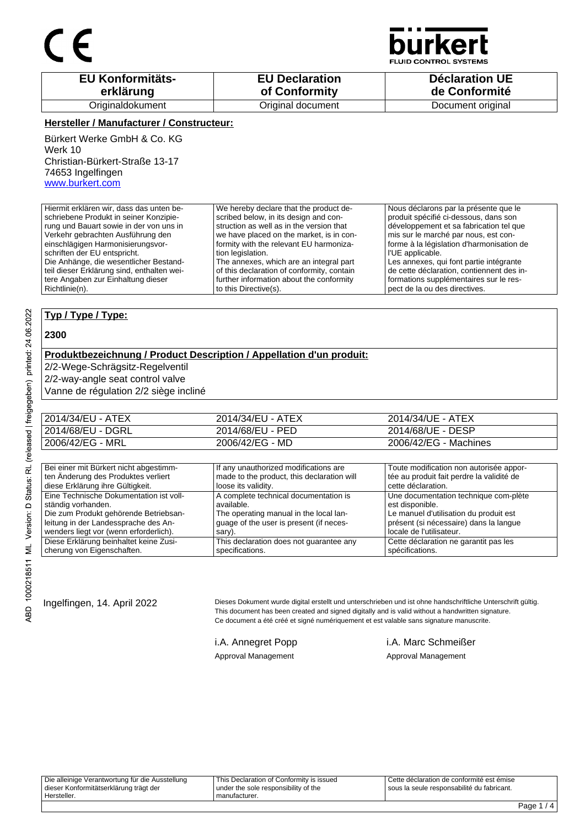

**JID CONTROL SYSTEMS** 

| <b>EU Konformitäts-</b> | <b>EU Declaration</b> | <b>Déclaration UE</b> |
|-------------------------|-----------------------|-----------------------|
| erklärung               | of Conformity         | de Conformité         |
| Originaldokument        | Original document     | Document original     |

### **Hersteller / Manufacturer / Constructeur:**

Bürkert Werke GmbH & Co. KG Werk 10 Christian-Bürkert-Straße 13-17 74653 Ingelfingen www.burkert.com

Hiermit erklären wir, dass das unten beschriebene Produkt in seiner Konzipierung und Bauart sowie in der von uns in Verkehr gebrachten Ausführung den einschlägigen Harmonisierungsvorschriften der EU entspricht. Die Anhänge, die wesentlicher Bestandteil dieser Erklärung sind, enthalten weitere Angaben zur Einhaltung dieser Richtlinie(n). We hereby declare that the product described below, in its design and construction as well as in the version that we have placed on the market, is in conformity with the relevant EU harmonization legislation. The annexes, which are an integral part of this declaration of conformity, contain further information about the conformity to this Directive(s). Nous déclarons par la présente que le produit spécifié ci-dessous, dans son développement et sa fabrication tel que mis sur le marché par nous, est conforme à la législation d'harmonisation de l'UE applicable. Les annexes, qui font partie intégrante de cette déclaration, contiennent des informations supplémentaires sur le respect de la ou des directives.

### **Typ / Type / Type:**

#### **2300**

#### **Produktbezeichnung / Product Description / Appellation d'un produit:**

2/2-Wege-Schrägsitz-Regelventil

2/2-way-angle seat control valve

Vanne de régulation 2/2 siège incliné

| 2014/34/EU - ATEX | 2014/34/EU - ATEX | 2014/34/UE - ATEX     |
|-------------------|-------------------|-----------------------|
| 2014/68/EU - DGRL | 2014/68/EU - PED  | 2014/68/UE - DESP     |
| 2006/42/EG - MRL  | 2006/42/EG - MD   | 2006/42/EG - Machines |

| Bei einer mit Bürkert nicht abgestimm-  | If any unauthorized modifications are      | Toute modification non autorisée appor-   |
|-----------------------------------------|--------------------------------------------|-------------------------------------------|
| ten Änderung des Produktes verliert     | made to the product, this declaration will | tée au produit fait perdre la validité de |
| diese Erklärung ihre Gültigkeit.        | loose its validity.                        | cette déclaration.                        |
| Eine Technische Dokumentation ist voll- | A complete technical documentation is      | Une documentation technique com-plète     |
| ständig vorhanden.                      | available.                                 | est disponible.                           |
| Die zum Produkt gehörende Betriebsan-   | The operating manual in the local lan-     | Le manuel d'utilisation du produit est    |
| leitung in der Landessprache des An-    | quage of the user is present (if neces-    | présent (si nécessaire) dans la langue    |
| wenders liegt vor (wenn erforderlich).  | sary).                                     | locale de l'utilisateur.                  |
| Diese Erklärung beinhaltet keine Zusi-  | This declaration does not guarantee any    | Cette déclaration ne garantit pas les     |
| cherung von Eigenschaften.              | specifications.                            | spécifications.                           |

Ingelfingen, 14. April 2022 Dieses Dokument wurde digital erstellt und unterschrieben und ist ohne handschriftliche Unterschrift gültig. This document has been created and signed digitally and is valid without a handwritten signature. Ce document a été créé et signé numériquement et est valable sans signature manuscrite.

Approval Management Approval Management

i.A. Annegret Popp i.A. Marc Schmeißer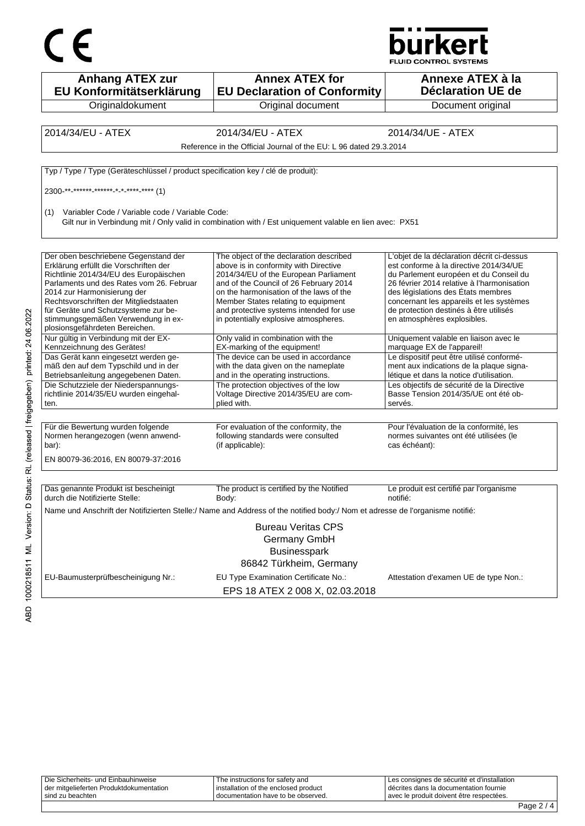



| <b>Anhang ATEX zur</b><br>EU Konformitätserklärung                                | <b>Annex ATEX for</b><br><b>EU Declaration of Conformity</b>                                                                 | Annexe ATEX à la<br><b>Déclaration UE de</b>                                          |
|-----------------------------------------------------------------------------------|------------------------------------------------------------------------------------------------------------------------------|---------------------------------------------------------------------------------------|
| Originaldokument                                                                  | Original document                                                                                                            | Document original                                                                     |
|                                                                                   |                                                                                                                              |                                                                                       |
| 2014/34/EU - ATEX                                                                 | 2014/34/EU - ATEX                                                                                                            | 2014/34/UE - ATEX                                                                     |
|                                                                                   | Reference in the Official Journal of the EU: L 96 dated 29.3.2014                                                            |                                                                                       |
| Typ / Type / Type (Geräteschlüssel / product specification key / clé de produit): |                                                                                                                              |                                                                                       |
| 2300 ** ****** ****** * * **** **** (1)                                           |                                                                                                                              |                                                                                       |
| Variabler Code / Variable code / Variable Code:<br>(1)                            | Gilt nur in Verbindung mit / Only valid in combination with / Est uniquement valable en lien avec: PX51                      |                                                                                       |
|                                                                                   |                                                                                                                              |                                                                                       |
| Der oben beschriebene Gegenstand der<br>Erklärung erfüllt die Vorschriften der    | The object of the declaration described<br>above is in conformity with Directive                                             | L'objet de la déclaration décrit ci-dessus<br>est conforme à la directive 2014/34/UE  |
| Richtlinie 2014/34/EU des Europäischen                                            | 2014/34/EU of the European Parliament                                                                                        | du Parlement européen et du Conseil du                                                |
| Parlaments und des Rates vom 26. Februar                                          | and of the Council of 26 February 2014                                                                                       | 26 février 2014 relative à l'harmonisation                                            |
| 2014 zur Harmonisierung der<br>Rechtsvorschriften der Mitgliedstaaten             | on the harmonisation of the laws of the                                                                                      | des législations des États membres<br>concernant les appareils et les systèmes        |
| für Geräte und Schutzsysteme zur be-                                              | Member States relating to equipment<br>and protective systems intended for use                                               | de protection destinés à être utilisés                                                |
| stimmungsgemäßen Verwendung in ex-<br>plosionsgefährdeten Bereichen.              | in potentially explosive atmospheres.                                                                                        | en atmosphères explosibles.                                                           |
| Nur gültig in Verbindung mit der EX-                                              | Only valid in combination with the                                                                                           | Uniquement valable en liaison avec le                                                 |
| Kennzeichnung des Gerätes!                                                        | EX-marking of the equipment!                                                                                                 | marquage EX de l'appareil!                                                            |
| Das Gerät kann eingesetzt werden ge-<br>mäß den auf dem Typschild und in der      | The device can be used in accordance<br>with the data given on the nameplate                                                 | Le dispositif peut être utilisé conformé-<br>ment aux indications de la plaque signa- |
| Betriebsanleitung angegebenen Daten.                                              | and in the operating instructions.                                                                                           | létique et dans la notice d'utilisation.                                              |
| Die Schutzziele der Niederspannungs-                                              | The protection objectives of the low                                                                                         | Les objectifs de sécurité de la Directive                                             |
| richtlinie 2014/35/EU wurden eingehal-                                            | Voltage Directive 2014/35/EU are com-                                                                                        | Basse Tension 2014/35/UE ont été ob-                                                  |
| ten.                                                                              | plied with.                                                                                                                  | servés.                                                                               |
|                                                                                   |                                                                                                                              |                                                                                       |
| Für die Bewertung wurden folgende                                                 | For evaluation of the conformity, the                                                                                        | Pour l'évaluation de la conformité, les                                               |
| Normen herangezogen (wenn anwend-<br>bar):                                        | following standards were consulted<br>(if applicable):                                                                       | normes suivantes ont été utilisées (le<br>cas échéant):                               |
|                                                                                   |                                                                                                                              |                                                                                       |
| EN 80079-36:2016, EN 80079-37:2016                                                |                                                                                                                              |                                                                                       |
|                                                                                   |                                                                                                                              |                                                                                       |
| Das genannte Produkt ist bescheinigt<br>durch die Notifizierte Stelle:            | The product is certified by the Notified<br>Body:                                                                            | Le produit est certifié par l'organisme<br>notifié:                                   |
|                                                                                   | Name und Anschrift der Notifizierten Stelle:/ Name and Address of the notified body:/ Nom et adresse de l'organisme notifié: |                                                                                       |
|                                                                                   | <b>Bureau Veritas CPS</b>                                                                                                    |                                                                                       |
|                                                                                   | Germany GmbH                                                                                                                 |                                                                                       |
|                                                                                   | <b>Businesspark</b>                                                                                                          |                                                                                       |
|                                                                                   | 86842 Türkheim, Germany                                                                                                      |                                                                                       |
| EU-Baumusterprüfbescheinigung Nr.:                                                | EU Type Examination Certificate No.:                                                                                         | Attestation d'examen UE de type Non.:                                                 |
|                                                                                   |                                                                                                                              |                                                                                       |
|                                                                                   | EPS 18 ATEX 2 008 X, 02.03.2018                                                                                              |                                                                                       |

| sind zu beachten                        | documentation have to be observed.     | l avec le produit doivent être respectées.  |  |
|-----------------------------------------|----------------------------------------|---------------------------------------------|--|
| der mitgelieferten Produktdokumentation | I installation of the enclosed product | I décrites dans la documentation fournie    |  |
| Die Sicherheits- und Einbauhinweise     | The instructions for safety and        | Les consignes de sécurité et d'installation |  |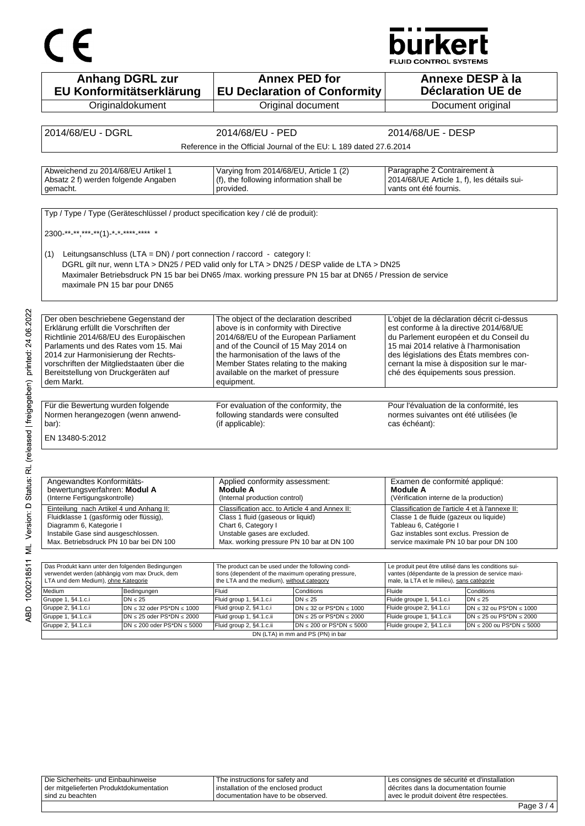# CE

## **burkert**

**FLUID CONTROL SYSTEMS** 

| <b>Anhang DGRL zur</b><br>EU Konformitätserklärung                                                                                                                                                                                                                  | <b>Annex PED for</b><br><b>EU Declaration of Conformity</b>                                                                   | Annexe DESP à la<br><b>Déclaration UE de</b>                                                                                    |
|---------------------------------------------------------------------------------------------------------------------------------------------------------------------------------------------------------------------------------------------------------------------|-------------------------------------------------------------------------------------------------------------------------------|---------------------------------------------------------------------------------------------------------------------------------|
| Originaldokument                                                                                                                                                                                                                                                    | Original document                                                                                                             | Document original                                                                                                               |
|                                                                                                                                                                                                                                                                     |                                                                                                                               |                                                                                                                                 |
| 2014/68/EU - DGRL                                                                                                                                                                                                                                                   | 2014/68/EU - PED                                                                                                              | 2014/68/UE - DESP                                                                                                               |
|                                                                                                                                                                                                                                                                     |                                                                                                                               |                                                                                                                                 |
|                                                                                                                                                                                                                                                                     | Reference in the Official Journal of the EU: L 189 dated 27.6.2014                                                            |                                                                                                                                 |
|                                                                                                                                                                                                                                                                     |                                                                                                                               |                                                                                                                                 |
| Abweichend zu 2014/68/EU Artikel 1<br>Absatz 2 f) werden folgende Angaben<br>gemacht.                                                                                                                                                                               | Varying from 2014/68/EU, Article 1 (2)<br>(f), the following information shall be<br>provided.                                | Paragraphe 2 Contrairement à<br>2014/68/UE Article 1, f), les détails sui-<br>vants ont été fournis.                            |
|                                                                                                                                                                                                                                                                     |                                                                                                                               |                                                                                                                                 |
| Typ / Type / Type (Geräteschlüssel / product specification key / clé de produit):                                                                                                                                                                                   |                                                                                                                               |                                                                                                                                 |
| 2300-**-**,***-**(1)-*-*-****-**** *                                                                                                                                                                                                                                |                                                                                                                               |                                                                                                                                 |
|                                                                                                                                                                                                                                                                     |                                                                                                                               |                                                                                                                                 |
|                                                                                                                                                                                                                                                                     |                                                                                                                               |                                                                                                                                 |
| Leitungsanschluss (LTA = DN) / port connection / raccord - category I:<br>(1)                                                                                                                                                                                       |                                                                                                                               |                                                                                                                                 |
| DGRL gilt nur, wenn LTA > DN25 / PED valid only for LTA > DN25 / DESP valide de LTA > DN25                                                                                                                                                                          |                                                                                                                               |                                                                                                                                 |
| Maximaler Betriebsdruck PN 15 bar bei DN65/max. working pressure PN 15 bar at DN65/Pression de service                                                                                                                                                              |                                                                                                                               |                                                                                                                                 |
| maximale PN 15 bar pour DN65                                                                                                                                                                                                                                        |                                                                                                                               |                                                                                                                                 |
|                                                                                                                                                                                                                                                                     |                                                                                                                               |                                                                                                                                 |
|                                                                                                                                                                                                                                                                     |                                                                                                                               |                                                                                                                                 |
|                                                                                                                                                                                                                                                                     |                                                                                                                               |                                                                                                                                 |
| Der oben beschriebene Gegenstand der                                                                                                                                                                                                                                | The object of the declaration described                                                                                       | L'objet de la déclaration décrit ci-dessus                                                                                      |
| Erklärung erfüllt die Vorschriften der                                                                                                                                                                                                                              | above is in conformity with Directive                                                                                         | est conforme à la directive 2014/68/UE                                                                                          |
| Richtlinie 2014/68/EU des Europäischen                                                                                                                                                                                                                              | 2014/68/EU of the European Parliament                                                                                         | du Parlement européen et du Conseil du                                                                                          |
| Parlaments und des Rates vom 15. Mai                                                                                                                                                                                                                                | and of the Council of 15 May 2014 on                                                                                          | 15 mai 2014 relative à l'harmonisation                                                                                          |
| 2014 zur Harmonisierung der Rechts-                                                                                                                                                                                                                                 | the harmonisation of the laws of the                                                                                          | des législations des États membres con-                                                                                         |
| vorschriften der Mitgliedstaaten über die                                                                                                                                                                                                                           | Member States relating to the making                                                                                          | cernant la mise à disposition sur le mar-                                                                                       |
| Bereitstellung von Druckgeräten auf                                                                                                                                                                                                                                 | available on the market of pressure                                                                                           | ché des équipements sous pression.                                                                                              |
| dem Markt.                                                                                                                                                                                                                                                          | equipment.                                                                                                                    |                                                                                                                                 |
|                                                                                                                                                                                                                                                                     |                                                                                                                               |                                                                                                                                 |
|                                                                                                                                                                                                                                                                     |                                                                                                                               |                                                                                                                                 |
|                                                                                                                                                                                                                                                                     |                                                                                                                               |                                                                                                                                 |
|                                                                                                                                                                                                                                                                     | For evaluation of the conformity, the                                                                                         | Pour l'évaluation de la conformité, les                                                                                         |
|                                                                                                                                                                                                                                                                     | following standards were consulted                                                                                            | normes suivantes ont été utilisées (le                                                                                          |
|                                                                                                                                                                                                                                                                     | (if applicable):                                                                                                              | cas échéant):                                                                                                                   |
|                                                                                                                                                                                                                                                                     |                                                                                                                               |                                                                                                                                 |
|                                                                                                                                                                                                                                                                     |                                                                                                                               |                                                                                                                                 |
|                                                                                                                                                                                                                                                                     |                                                                                                                               |                                                                                                                                 |
|                                                                                                                                                                                                                                                                     |                                                                                                                               |                                                                                                                                 |
| Angewandtes Konformitäts-                                                                                                                                                                                                                                           | Applied conformity assessment:                                                                                                | Examen de conformité appliqué:                                                                                                  |
| bewertungsverfahren: Modul A                                                                                                                                                                                                                                        | Module A                                                                                                                      | <b>Module A</b>                                                                                                                 |
|                                                                                                                                                                                                                                                                     | (Internal production control)                                                                                                 | (Vérification interne de la production)                                                                                         |
|                                                                                                                                                                                                                                                                     | Classification acc. to Article 4 and Annex II:                                                                                | Classification de l'article 4 et à l'annexe II:                                                                                 |
| Fluidklasse 1 (gasförmig oder flüssig),                                                                                                                                                                                                                             | Class 1 fluid (gaseous or liquid)                                                                                             | Classe 1 de fluide (gazeux ou liquide)                                                                                          |
|                                                                                                                                                                                                                                                                     | Chart 6, Category I                                                                                                           | Tableau 6, Catégorie I                                                                                                          |
| (Interne Fertigungskontrolle)<br>Diagramm 6, Kategorie I                                                                                                                                                                                                            | Unstable gases are excluded.                                                                                                  | Gaz instables sont exclus. Pression de                                                                                          |
|                                                                                                                                                                                                                                                                     | Max. working pressure PN 10 bar at DN 100                                                                                     | service maximale PN 10 bar pour DN 100                                                                                          |
| Einteilung nach Artikel 4 und Anhang II:<br>Instabile Gase sind ausgeschlossen.<br>Max. Betriebsdruck PN 10 bar bei DN 100                                                                                                                                          |                                                                                                                               |                                                                                                                                 |
| Für die Bewertung wurden folgende<br>Normen herangezogen (wenn anwend-<br>bar):<br>EN 13480-5:2012<br>Das Produkt kann unter den folgenden Bedingungen                                                                                                              | The product can be used under the following condi-                                                                            | Le produit peut être utilisé dans les conditions sui-                                                                           |
|                                                                                                                                                                                                                                                                     | tions (dependent of the maximum operating pressure,                                                                           | vantes (dépendante de la pression de service maxi-                                                                              |
|                                                                                                                                                                                                                                                                     | the LTA and the medium), without category                                                                                     | male, la LTA et le milieu), sans catégorie                                                                                      |
| Bedingungen                                                                                                                                                                                                                                                         | Fluid<br>Conditions                                                                                                           | Fluide<br>Conditions                                                                                                            |
| $DN \leq 25$                                                                                                                                                                                                                                                        | Fluid group 1, §4.1.c.i<br>$DN \leq 25$                                                                                       | Fluide groupe 1, §4.1.c.i<br>$DN \leq 25$                                                                                       |
| $DN \leq 32$ oder PS*DN $\leq 1000$                                                                                                                                                                                                                                 | Fluid group 2, §4.1.c.i<br>DN $\leq$ 32 or PS*DN $\leq$ 1000                                                                  | Fluide groupe 2, §4.1.c.i<br>$DN \leq 32$ ou PS*DN $\leq 1000$                                                                  |
| verwendet werden (abhängig vom max Druck, dem<br>LTA und dem Medium), ohne Kategorie<br>Medium<br>Gruppe 1, §4.1.c.i<br>Gruppe 2, §4.1.c.i<br>Gruppe 1, §4.1.c.ii<br>$DN \le 25$ oder PS*DN $\le 2000$<br>Gruppe 2, §4.1.c.ii<br>$DN \le 200$ oder PS*DN $\le 5000$ | Fluid group 1, §4.1.c.ii<br>DN $\leq$ 25 or PS*DN $\leq$ 2000<br>Fluid group 2, §4.1.c.ii<br>$DN \le 200$ or PS*DN $\le 5000$ | Fluide groupe 1, §4.1.c.ii<br>$DN \le 25$ ou PS*DN $\le 2000$<br>$DN \le 200$ ou PS*DN $\le 5000$<br>Fluide groupe 2, §4.1.c.ii |

Die Sicherheits- und Einbauhinweise der mitgelieferten Produktdokumentation sind zu beachten The instructions for safety and installation of the enclosed product documentation have to be observed. Les consignes de sécurité et d'installation décrites dans la documentation fournie avec le produit doivent être respectées.